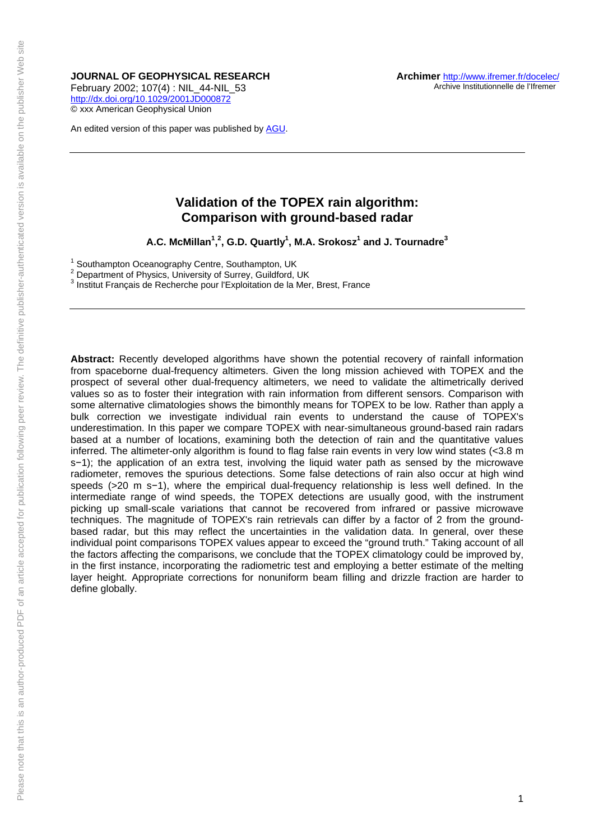**JOURNAL OF GEOPHYSICAL RESEARCH** 

February 2002; 107(4) : NIL\_44-NIL\_53 <http://dx.doi.org/10.1029/2001JD000872> © xxx American Geophysical Union

An edited version of this paper was published by [AGU.](http://www.agu.org/)

# **Validation of the TOPEX rain algorithm: Comparison with ground-based radar**

**A.C. McMillan<sup>1</sup> , 2 , G.D. Quartly1 , M.A. Srokosz<sup>1</sup> and J. Tournadre3**

<sup>1</sup> Southampton Oceanography Centre, Southampton, UK  $^2$  Department of Physics, University of Surrey, Cuildford, I

<sup>2</sup> Department of Physics, University of Surrey, Guildford, UK

Institut Français de Recherche pour l'Exploitation de la Mer, Brest, France

**Abstract:** Recently developed algorithms have shown the potential recovery of rainfall information from spaceborne dual-frequency altimeters. Given the long mission achieved with TOPEX and the prospect of several other dual-frequency altimeters, we need to validate the altimetrically derived values so as to foster their integration with rain information from different sensors. Comparison with some alternative climatologies shows the bimonthly means for TOPEX to be low. Rather than apply a bulk correction we investigate individual rain events to understand the cause of TOPEX's underestimation. In this paper we compare TOPEX with near-simultaneous ground-based rain radars based at a number of locations, examining both the detection of rain and the quantitative values inferred. The altimeter-only algorithm is found to flag false rain events in very low wind states (<3.8 m s−1); the application of an extra test, involving the liquid water path as sensed by the microwave radiometer, removes the spurious detections. Some false detections of rain also occur at high wind speeds (>20 m s−1), where the empirical dual-frequency relationship is less well defined. In the intermediate range of wind speeds, the TOPEX detections are usually good, with the instrument picking up small-scale variations that cannot be recovered from infrared or passive microwave techniques. The magnitude of TOPEX's rain retrievals can differ by a factor of 2 from the groundbased radar, but this may reflect the uncertainties in the validation data. In general, over these individual point comparisons TOPEX values appear to exceed the "ground truth." Taking account of all the factors affecting the comparisons, we conclude that the TOPEX climatology could be improved by, in the first instance, incorporating the radiometric test and employing a better estimate of the melting layer height. Appropriate corrections for nonuniform beam filling and drizzle fraction are harder to define globally.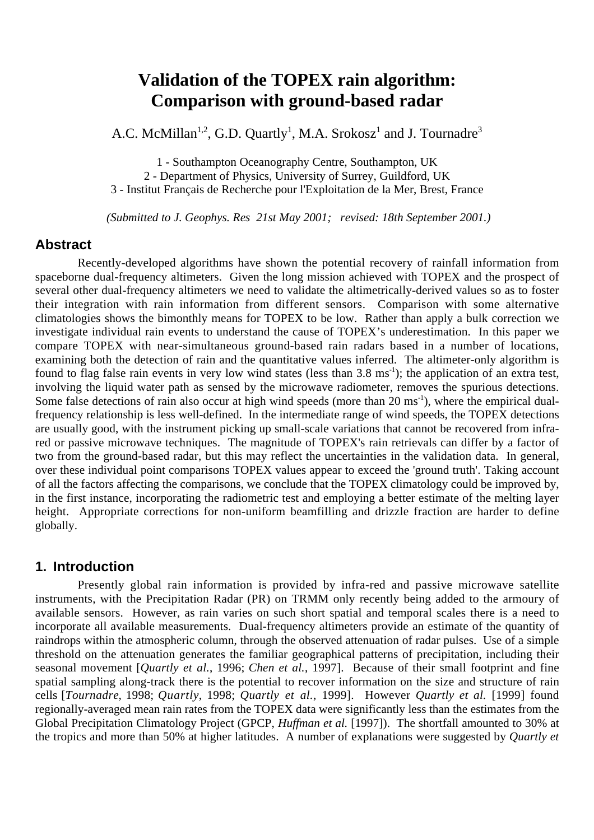# **Validation of the TOPEX rain algorithm: Comparison with ground-based radar**

A.C. McMillan<sup>1,2</sup>, G.D. Quartly<sup>1</sup>, M.A. Srokosz<sup>1</sup> and J. Tournadre<sup>3</sup>

1 - Southampton Oceanography Centre, Southampton, UK

2 - Department of Physics, University of Surrey, Guildford, UK

3 - Institut Français de Recherche pour l'Exploitation de la Mer, Brest, France

 *(Submitted to J. Geophys. Res 21st May 2001; revised: 18th September 2001.)*

## **Abstract**

Recently-developed algorithms have shown the potential recovery of rainfall information from spaceborne dual-frequency altimeters. Given the long mission achieved with TOPEX and the prospect of several other dual-frequency altimeters we need to validate the altimetrically-derived values so as to foster their integration with rain information from different sensors. Comparison with some alternative climatologies shows the bimonthly means for TOPEX to be low. Rather than apply a bulk correction we investigate individual rain events to understand the cause of TOPEX's underestimation. In this paper we compare TOPEX with near-simultaneous ground-based rain radars based in a number of locations, examining both the detection of rain and the quantitative values inferred. The altimeter-only algorithm is found to flag false rain events in very low wind states (less than 3.8 ms<sup>-1</sup>); the application of an extra test, involving the liquid water path as sensed by the microwave radiometer, removes the spurious detections. Some false detections of rain also occur at high wind speeds (more than  $20 \text{ ms}^{-1}$ ), where the empirical dualfrequency relationship is less well-defined. In the intermediate range of wind speeds, the TOPEX detections are usually good, with the instrument picking up small-scale variations that cannot be recovered from infrared or passive microwave techniques. The magnitude of TOPEX's rain retrievals can differ by a factor of two from the ground-based radar, but this may reflect the uncertainties in the validation data. In general, over these individual point comparisons TOPEX values appear to exceed the 'ground truth'. Taking account of all the factors affecting the comparisons, we conclude that the TOPEX climatology could be improved by, in the first instance, incorporating the radiometric test and employing a better estimate of the melting layer height. Appropriate corrections for non-uniform beamfilling and drizzle fraction are harder to define globally.

# **1. Introduction**

Presently global rain information is provided by infra-red and passive microwave satellite instruments, with the Precipitation Radar (PR) on TRMM only recently being added to the armoury of available sensors. However, as rain varies on such short spatial and temporal scales there is a need to incorporate all available measurements. Dual-frequency altimeters provide an estimate of the quantity of raindrops within the atmospheric column, through the observed attenuation of radar pulses. Use of a simple threshold on the attenuation generates the familiar geographical patterns of precipitation, including their seasonal movement [*Quartly et al.*, 1996; *Chen et al.*, 1997]. Because of their small footprint and fine spatial sampling along-track there is the potential to recover information on the size and structure of rain cells [*Tournadre*, 1998; *Quartly*, 1998; *Quartly et al.*, 1999]. However *Quartly et al.* [1999] found regionally-averaged mean rain rates from the TOPEX data were significantly less than the estimates from the Global Precipitation Climatology Project (GPCP, *Huffman et al.* [1997]). The shortfall amounted to 30% at the tropics and more than 50% at higher latitudes. A number of explanations were suggested by *Quartly et*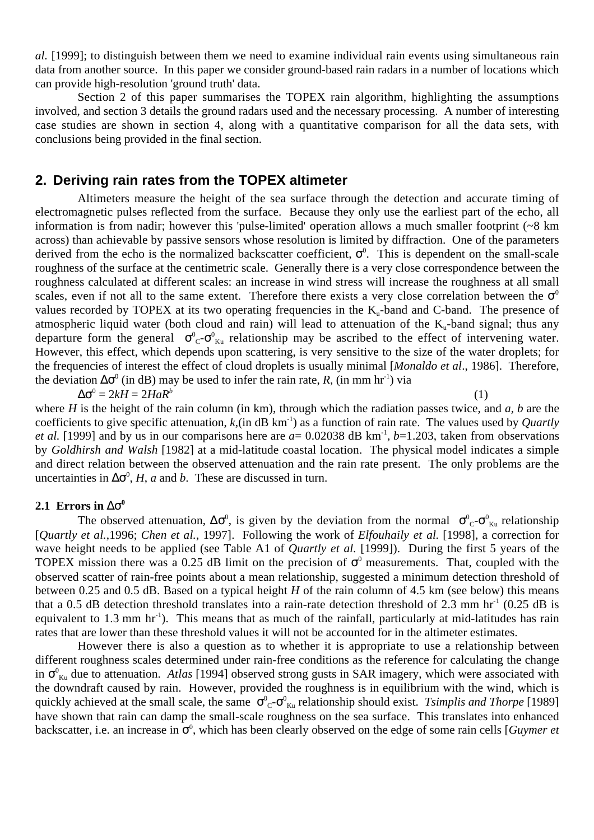*al.* [1999]; to distinguish between them we need to examine individual rain events using simultaneous rain data from another source. In this paper we consider ground-based rain radars in a number of locations which can provide high-resolution 'ground truth' data.

Section 2 of this paper summarises the TOPEX rain algorithm, highlighting the assumptions involved, and section 3 details the ground radars used and the necessary processing. A number of interesting case studies are shown in section 4, along with a quantitative comparison for all the data sets, with conclusions being provided in the final section.

# **2. Deriving rain rates from the TOPEX altimeter**

Altimeters measure the height of the sea surface through the detection and accurate timing of electromagnetic pulses reflected from the surface. Because they only use the earliest part of the echo, all information is from nadir; however this 'pulse-limited' operation allows a much smaller footprint (~8 km across) than achievable by passive sensors whose resolution is limited by diffraction. One of the parameters derived from the echo is the normalized backscatter coefficient,  $\sigma^0$ . This is dependent on the small-scale roughness of the surface at the centimetric scale. Generally there is a very close correspondence between the roughness calculated at different scales: an increase in wind stress will increase the roughness at all small scales, even if not all to the same extent. Therefore there exists a very close correlation between the  $\sigma^0$ values recorded by TOPEX at its two operating frequencies in the  $K_{\alpha}$ -band and C-band. The presence of atmospheric liquid water (both cloud and rain) will lead to attenuation of the  $K_{\nu}$ -band signal; thus any departure form the general  $\sigma_{C}^{0}$ - $\sigma_{K_{u}}^{0}$  relationship may be ascribed to the effect of intervening water. However, this effect, which depends upon scattering, is very sensitive to the size of the water droplets; for the frequencies of interest the effect of cloud droplets is usually minimal [*Monaldo et al*., 1986]. Therefore, the deviation  $\Delta \sigma^0$  (in dB) may be used to infer the rain rate, *R*, (in mm hr<sup>-1</sup>) via

$$
\Delta \sigma^0 = 2kH = 2HaR^b \tag{1}
$$

where *H* is the height of the rain column (in km), through which the radiation passes twice, and *a*, *b* are the coefficients to give specific attenuation,  $k$ , (in dB km<sup>-1</sup>) as a function of rain rate. The values used by *Quartly et al.* [1999] and by us in our comparisons here are  $a = 0.02038$  dB km<sup>-1</sup>,  $b=1.203$ , taken from observations by *Goldhirsh and Walsh* [1982] at a mid-latitude coastal location. The physical model indicates a simple and direct relation between the observed attenuation and the rain rate present. The only problems are the uncertainties in  $\Delta \sigma^0$ , *H*, *a* and *b*. These are discussed in turn.

## **2.1 Errors in**  $\Delta \sigma^0$

The observed attenuation,  $\Delta \sigma^0$ , is given by the deviation from the normal  $\sigma^0{}_C$ - $\sigma^0{}_{Ku}$  relationship [*Quartly et al.*,1996; *Chen et al.*, 1997]. Following the work of *Elfouhaily et al*. [1998], a correction for wave height needs to be applied (see Table A1 of *Quartly et al.* [1999]). During the first 5 years of the TOPEX mission there was a 0.25 dB limit on the precision of  $\sigma^0$  measurements. That, coupled with the observed scatter of rain-free points about a mean relationship, suggested a minimum detection threshold of between 0.25 and 0.5 dB. Based on a typical height *H* of the rain column of 4.5 km (see below) this means that a 0.5 dB detection threshold translates into a rain-rate detection threshold of 2.3 mm  $\text{hr}^{-1}$  (0.25 dB is equivalent to 1.3 mm  $\text{hr}^{-1}$ ). This means that as much of the rainfall, particularly at mid-latitudes has rain rates that are lower than these threshold values it will not be accounted for in the altimeter estimates.

However there is also a question as to whether it is appropriate to use a relationship between different roughness scales determined under rain-free conditions as the reference for calculating the change in  $\sigma_{\kappa u}^0$  due to attenuation. *Atlas* [1994] observed strong gusts in SAR imagery, which were associated with the downdraft caused by rain. However, provided the roughness is in equilibrium with the wind, which is quickly achieved at the small scale, the same  $\sigma_{c}^{0}$ - $\sigma_{k}^{0}$  relationship should exist. *Tsimplis and Thorpe* [1989] have shown that rain can damp the small-scale roughness on the sea surface. This translates into enhanced backscatter, i.e. an increase in σ<sup>0</sup>, which has been clearly observed on the edge of some rain cells [*Guymer et*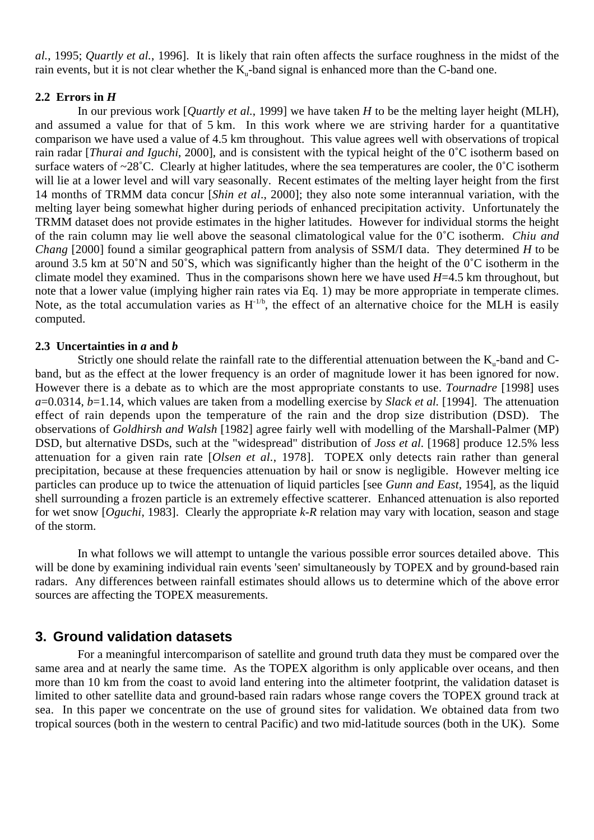*al.*, 1995; *Quartly et al.*, 1996]. It is likely that rain often affects the surface roughness in the midst of the rain events, but it is not clear whether the  $K_{n}$ -band signal is enhanced more than the C-band one.

## 2.2 Errors in  $H$

In our previous work [*Quartly et al.*, 1999] we have taken *H* to be the melting layer height (MLH), and assumed a value for that of 5 km. In this work where we are striving harder for a quantitative comparison we have used a value of 4.5 km throughout. This value agrees well with observations of tropical rain radar [*Thurai and Iguchi*, 2000], and is consistent with the typical height of the 0˚C isotherm based on surface waters of ~28<sup>°</sup>C. Clearly at higher latitudes, where the sea temperatures are cooler, the 0<sup>°</sup>C isotherm will lie at a lower level and will vary seasonally. Recent estimates of the melting layer height from the first 14 months of TRMM data concur [*Shin et al*., 2000]; they also note some interannual variation, with the melting layer being somewhat higher during periods of enhanced precipitation activity. Unfortunately the TRMM dataset does not provide estimates in the higher latitudes. However for individual storms the height of the rain column may lie well above the seasonal climatological value for the 0˚C isotherm. *Chiu and Chang* [2000] found a similar geographical pattern from analysis of SSM/I data. They determined *H* to be around 3.5 km at 50˚N and 50˚S, which was significantly higher than the height of the 0˚C isotherm in the climate model they examined. Thus in the comparisons shown here we have used *H*=4.5 km throughout, but note that a lower value (implying higher rain rates via Eq. 1) may be more appropriate in temperate climes. Note, as the total accumulation varies as  $H^{-1/b}$ , the effect of an alternative choice for the MLH is easily computed.

## **2.3 Uncertainties in** *a* **and** *b*

Strictly one should relate the rainfall rate to the differential attenuation between the  $K_{u}$ -band and  $C$ band, but as the effect at the lower frequency is an order of magnitude lower it has been ignored for now. However there is a debate as to which are the most appropriate constants to use. *Tournadre* [1998] uses *a*=0.0314, *b*=1.14, which values are taken from a modelling exercise by *Slack et al.* [1994]. The attenuation effect of rain depends upon the temperature of the rain and the drop size distribution (DSD). The observations of *Goldhirsh and Walsh* [1982] agree fairly well with modelling of the Marshall-Palmer (MP) DSD, but alternative DSDs, such at the "widespread" distribution of *Joss et al*. [1968] produce 12.5% less attenuation for a given rain rate [*Olsen et al.*, 1978]. TOPEX only detects rain rather than general precipitation, because at these frequencies attenuation by hail or snow is negligible. However melting ice particles can produce up to twice the attenuation of liquid particles [see *Gunn and East*, 1954], as the liquid shell surrounding a frozen particle is an extremely effective scatterer. Enhanced attenuation is also reported for wet snow [*Oguchi*, 1983]. Clearly the appropriate *k-R* relation may vary with location, season and stage of the storm.

In what follows we will attempt to untangle the various possible error sources detailed above. This will be done by examining individual rain events 'seen' simultaneously by TOPEX and by ground-based rain radars. Any differences between rainfall estimates should allows us to determine which of the above error sources are affecting the TOPEX measurements.

# **3. Ground validation datasets**

For a meaningful intercomparison of satellite and ground truth data they must be compared over the same area and at nearly the same time. As the TOPEX algorithm is only applicable over oceans, and then more than 10 km from the coast to avoid land entering into the altimeter footprint, the validation dataset is limited to other satellite data and ground-based rain radars whose range covers the TOPEX ground track at sea. In this paper we concentrate on the use of ground sites for validation. We obtained data from two tropical sources (both in the western to central Pacific) and two mid-latitude sources (both in the UK). Some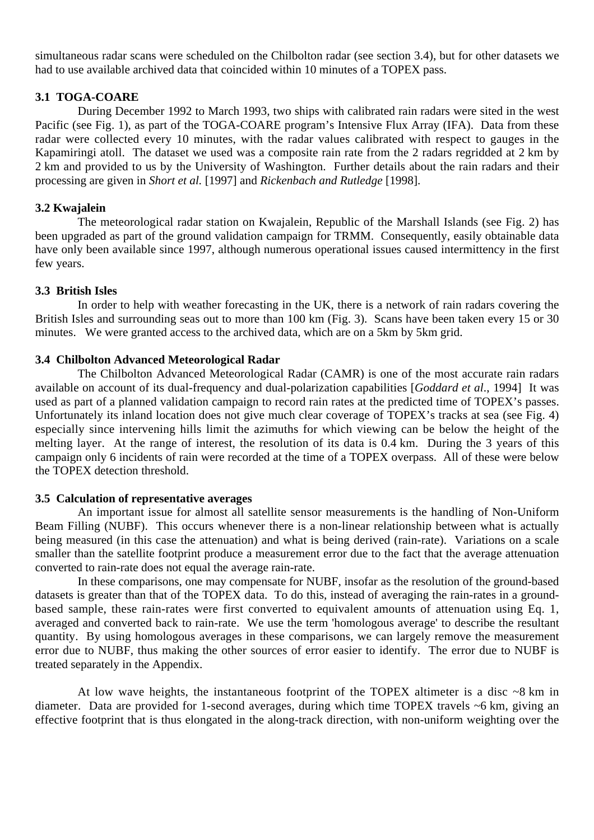simultaneous radar scans were scheduled on the Chilbolton radar (see section 3.4), but for other datasets we had to use available archived data that coincided within 10 minutes of a TOPEX pass.

## **3.1 TOGA-COARE**

During December 1992 to March 1993, two ships with calibrated rain radars were sited in the west Pacific (see Fig. 1), as part of the TOGA-COARE program's Intensive Flux Array (IFA). Data from these radar were collected every 10 minutes, with the radar values calibrated with respect to gauges in the Kapamiringi atoll. The dataset we used was a composite rain rate from the 2 radars regridded at 2 km by 2 km and provided to us by the University of Washington. Further details about the rain radars and their processing are given in *Short et al.* [1997] and *Rickenbach and Rutledge* [1998].

## **3.2 Kwajalein**

The meteorological radar station on Kwajalein, Republic of the Marshall Islands (see Fig. 2) has been upgraded as part of the ground validation campaign for TRMM. Consequently, easily obtainable data have only been available since 1997, although numerous operational issues caused intermittency in the first few years.

#### **3.3 British Isles**

In order to help with weather forecasting in the UK, there is a network of rain radars covering the British Isles and surrounding seas out to more than 100 km (Fig. 3). Scans have been taken every 15 or 30 minutes. We were granted access to the archived data, which are on a 5km by 5km grid.

#### **3.4 Chilbolton Advanced Meteorological Radar**

The Chilbolton Advanced Meteorological Radar (CAMR) is one of the most accurate rain radars available on account of its dual-frequency and dual-polarization capabilities [*Goddard et al*., 1994] It was used as part of a planned validation campaign to record rain rates at the predicted time of TOPEX's passes. Unfortunately its inland location does not give much clear coverage of TOPEX's tracks at sea (see Fig. 4) especially since intervening hills limit the azimuths for which viewing can be below the height of the melting layer. At the range of interest, the resolution of its data is 0.4 km. During the 3 years of this campaign only 6 incidents of rain were recorded at the time of a TOPEX overpass. All of these were below the TOPEX detection threshold.

## **3.5 Calculation of representative averages**

An important issue for almost all satellite sensor measurements is the handling of Non-Uniform Beam Filling (NUBF). This occurs whenever there is a non-linear relationship between what is actually being measured (in this case the attenuation) and what is being derived (rain-rate). Variations on a scale smaller than the satellite footprint produce a measurement error due to the fact that the average attenuation converted to rain-rate does not equal the average rain-rate.

In these comparisons, one may compensate for NUBF, insofar as the resolution of the ground-based datasets is greater than that of the TOPEX data. To do this, instead of averaging the rain-rates in a groundbased sample, these rain-rates were first converted to equivalent amounts of attenuation using Eq. 1, averaged and converted back to rain-rate. We use the term 'homologous average' to describe the resultant quantity. By using homologous averages in these comparisons, we can largely remove the measurement error due to NUBF, thus making the other sources of error easier to identify. The error due to NUBF is treated separately in the Appendix.

At low wave heights, the instantaneous footprint of the TOPEX altimeter is a disc  $\sim8$  km in diameter. Data are provided for 1-second averages, during which time TOPEX travels ~6 km, giving an effective footprint that is thus elongated in the along-track direction, with non-uniform weighting over the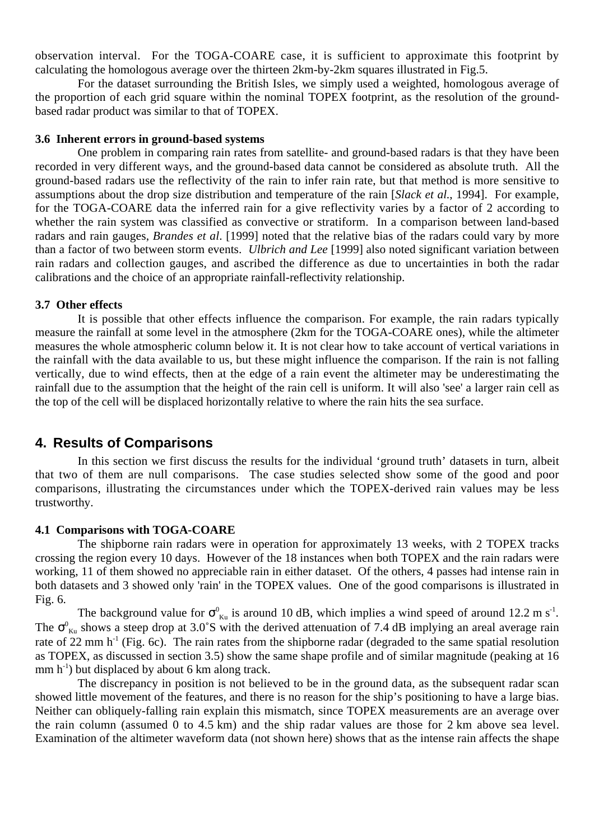observation interval. For the TOGA-COARE case, it is sufficient to approximate this footprint by calculating the homologous average over the thirteen 2km-by-2km squares illustrated in Fig.5.

For the dataset surrounding the British Isles, we simply used a weighted, homologous average of the proportion of each grid square within the nominal TOPEX footprint, as the resolution of the groundbased radar product was similar to that of TOPEX.

#### **3.6 Inherent errors in ground-based systems**

One problem in comparing rain rates from satellite- and ground-based radars is that they have been recorded in very different ways, and the ground-based data cannot be considered as absolute truth. All the ground-based radars use the reflectivity of the rain to infer rain rate, but that method is more sensitive to assumptions about the drop size distribution and temperature of the rain [*Slack et al*., 1994]. For example, for the TOGA-COARE data the inferred rain for a give reflectivity varies by a factor of 2 according to whether the rain system was classified as convective or stratiform. In a comparison between land-based radars and rain gauges, *Brandes et al*. [1999] noted that the relative bias of the radars could vary by more than a factor of two between storm events. *Ulbrich and Lee* [1999] also noted significant variation between rain radars and collection gauges, and ascribed the difference as due to uncertainties in both the radar calibrations and the choice of an appropriate rainfall-reflectivity relationship.

#### **3.7 Other effects**

It is possible that other effects influence the comparison. For example, the rain radars typically measure the rainfall at some level in the atmosphere (2km for the TOGA-COARE ones), while the altimeter measures the whole atmospheric column below it. It is not clear how to take account of vertical variations in the rainfall with the data available to us, but these might influence the comparison. If the rain is not falling vertically, due to wind effects, then at the edge of a rain event the altimeter may be underestimating the rainfall due to the assumption that the height of the rain cell is uniform. It will also 'see' a larger rain cell as the top of the cell will be displaced horizontally relative to where the rain hits the sea surface.

# **4. Results of Comparisons**

In this section we first discuss the results for the individual 'ground truth' datasets in turn, albeit that two of them are null comparisons. The case studies selected show some of the good and poor comparisons, illustrating the circumstances under which the TOPEX-derived rain values may be less trustworthy.

## **4.1 Comparisons with TOGA-COARE**

The shipborne rain radars were in operation for approximately 13 weeks, with 2 TOPEX tracks crossing the region every 10 days. However of the 18 instances when both TOPEX and the rain radars were working, 11 of them showed no appreciable rain in either dataset. Of the others, 4 passes had intense rain in both datasets and 3 showed only 'rain' in the TOPEX values. One of the good comparisons is illustrated in Fig. 6.

The background value for  $\sigma_{\kappa u}^{0}$  is around 10 dB, which implies a wind speed of around 12.2 m s<sup>-1</sup>. The  $\sigma_{\kappa u}^0$  shows a steep drop at 3.0°S with the derived attenuation of 7.4 dB implying an areal average rain rate of 22 mm  $h^{-1}$  (Fig. 6c). The rain rates from the shipborne radar (degraded to the same spatial resolution as TOPEX, as discussed in section 3.5) show the same shape profile and of similar magnitude (peaking at 16 mm  $h^{-1}$ ) but displaced by about 6 km along track.

The discrepancy in position is not believed to be in the ground data, as the subsequent radar scan showed little movement of the features, and there is no reason for the ship's positioning to have a large bias. Neither can obliquely-falling rain explain this mismatch, since TOPEX measurements are an average over the rain column (assumed 0 to 4.5 km) and the ship radar values are those for 2 km above sea level. Examination of the altimeter waveform data (not shown here) shows that as the intense rain affects the shape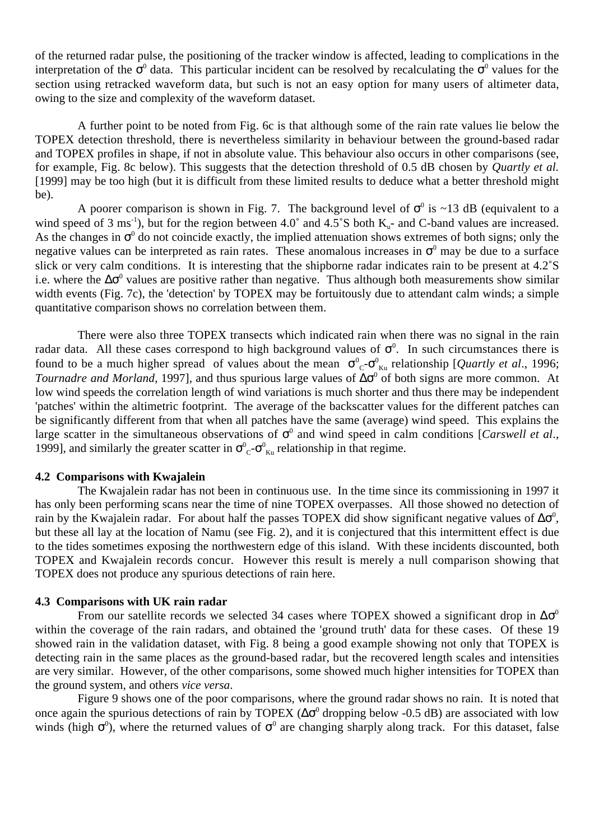of the returned radar pulse, the positioning of the tracker window is affected, leading to complications in the interpretation of the  $\sigma^0$  data. This particular incident can be resolved by recalculating the  $\sigma^0$  values for the section using retracked waveform data, but such is not an easy option for many users of altimeter data, owing to the size and complexity of the waveform dataset.

A further point to be noted from Fig. 6c is that although some of the rain rate values lie below the TOPEX detection threshold, there is nevertheless similarity in behaviour between the ground-based radar and TOPEX profiles in shape, if not in absolute value. This behaviour also occurs in other comparisons (see, for example, Fig. 8c below). This suggests that the detection threshold of 0.5 dB chosen by *Quartly et al.* [1999] may be too high (but it is difficult from these limited results to deduce what a better threshold might be).

A poorer comparison is shown in Fig. 7. The background level of  $\sigma^0$  is ~13 dB (equivalent to a wind speed of 3 ms<sup>-1</sup>), but for the region between 4.0 $^{\circ}$  and 4.5 $^{\circ}$ S both K<sub>u</sub>- and C-band values are increased. As the changes in  $\sigma^0$  do not coincide exactly, the implied attenuation shows extremes of both signs; only the negative values can be interpreted as rain rates. These anomalous increases in  $\sigma^0$  may be due to a surface slick or very calm conditions. It is interesting that the shipborne radar indicates rain to be present at 4.2˚S i.e. where the  $\Delta\sigma^0$  values are positive rather than negative. Thus although both measurements show similar width events (Fig. 7c), the 'detection' by TOPEX may be fortuitously due to attendant calm winds; a simple quantitative comparison shows no correlation between them.

There were also three TOPEX transects which indicated rain when there was no signal in the rain radar data. All these cases correspond to high background values of  $\sigma^0$ . In such circumstances there is found to be a much higher spread of values about the mean  $\sigma_{c}^{0} - \sigma_{\kappa u}^{0}$  relationship [*Quartly et al.*, 1996; *Tournadre and Morland*, 1997], and thus spurious large values of ∆σ<sup>0</sup> of both signs are more common. At low wind speeds the correlation length of wind variations is much shorter and thus there may be independent 'patches' within the altimetric footprint. The average of the backscatter values for the different patches can be significantly different from that when all patches have the same (average) wind speed. This explains the large scatter in the simultaneous observations of  $\sigma^0$  and wind speed in calm conditions [*Carswell et al.*, 1999], and similarly the greater scatter in  $\sigma_{C}^{0}$ - $\sigma_{K_{u}}^{0}$  relationship in that regime.

#### **4.2 Comparisons with Kwajalein**

The Kwajalein radar has not been in continuous use. In the time since its commissioning in 1997 it has only been performing scans near the time of nine TOPEX overpasses. All those showed no detection of rain by the Kwajalein radar. For about half the passes TOPEX did show significant negative values of  $\Delta\sigma^0$ , but these all lay at the location of Namu (see Fig. 2), and it is conjectured that this intermittent effect is due to the tides sometimes exposing the northwestern edge of this island. With these incidents discounted, both TOPEX and Kwajalein records concur. However this result is merely a null comparison showing that TOPEX does not produce any spurious detections of rain here.

#### **4.3 Comparisons with UK rain radar**

From our satellite records we selected 34 cases where TOPEX showed a significant drop in  $\Delta \sigma^0$ within the coverage of the rain radars, and obtained the 'ground truth' data for these cases. Of these 19 showed rain in the validation dataset, with Fig. 8 being a good example showing not only that TOPEX is detecting rain in the same places as the ground-based radar, but the recovered length scales and intensities are very similar. However, of the other comparisons, some showed much higher intensities for TOPEX than the ground system, and others *vice versa*.

Figure 9 shows one of the poor comparisons, where the ground radar shows no rain. It is noted that once again the spurious detections of rain by TOPEX ( $\Delta\sigma^0$  dropping below -0.5 dB) are associated with low winds (high  $\sigma^0$ ), where the returned values of  $\sigma^0$  are changing sharply along track. For this dataset, false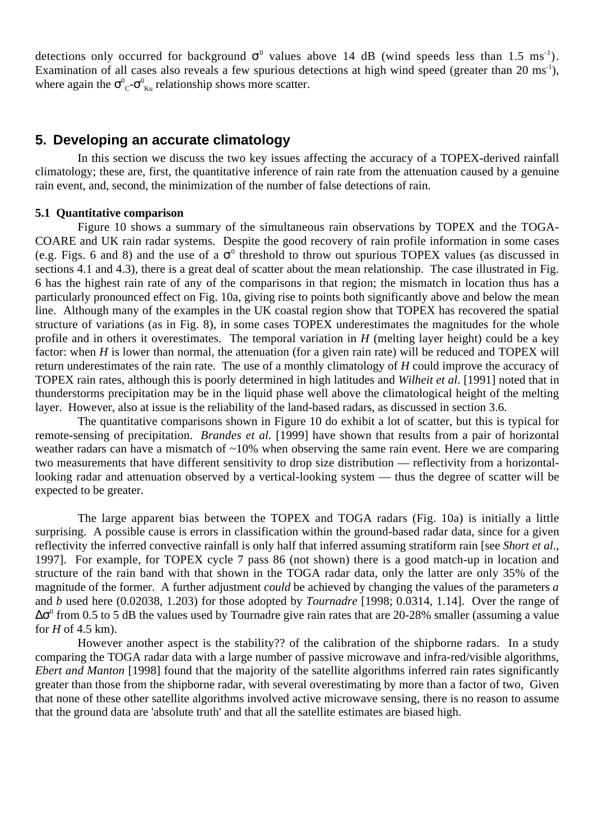detections only occurred for background  $\sigma^0$  values above 14 dB (wind speeds less than 1.5 ms<sup>-1</sup>). Examination of all cases also reveals a few spurious detections at high wind speed (greater than 20 ms<sup>-1</sup>), where again the  $\sigma_{c}^{0}$ - $\sigma_{\kappa u}^{0}$  relationship shows more scatter.

# **5. Developing an accurate climatology**

In this section we discuss the two key issues affecting the accuracy of a TOPEX-derived rainfall climatology; these are, first, the quantitative inference of rain rate from the attenuation caused by a genuine rain event, and, second, the minimization of the number of false detections of rain.

#### **5.1 Quantitative comparison**

Figure 10 shows a summary of the simultaneous rain observations by TOPEX and the TOGA-COARE and UK rain radar systems. Despite the good recovery of rain profile information in some cases (e.g. Figs. 6 and 8) and the use of a  $\sigma^0$  threshold to throw out spurious TOPEX values (as discussed in sections 4.1 and 4.3), there is a great deal of scatter about the mean relationship. The case illustrated in Fig. 6 has the highest rain rate of any of the comparisons in that region; the mismatch in location thus has a particularly pronounced effect on Fig. 10a, giving rise to points both significantly above and below the mean line. Although many of the examples in the UK coastal region show that TOPEX has recovered the spatial structure of variations (as in Fig. 8), in some cases TOPEX underestimates the magnitudes for the whole profile and in others it overestimates. The temporal variation in *H* (melting layer height) could be a key factor: when *H* is lower than normal, the attenuation (for a given rain rate) will be reduced and TOPEX will return underestimates of the rain rate. The use of a monthly climatology of *H* could improve the accuracy of TOPEX rain rates, although this is poorly determined in high latitudes and *Wilheit et al*. [1991] noted that in thunderstorms precipitation may be in the liquid phase well above the climatological height of the melting layer. However, also at issue is the reliability of the land-based radars, as discussed in section 3.6.

The quantitative comparisons shown in Figure 10 do exhibit a lot of scatter, but this is typical for remote-sensing of precipitation. *Brandes et al.* [1999] have shown that results from a pair of horizontal weather radars can have a mismatch of ~10% when observing the same rain event. Here we are comparing two measurements that have different sensitivity to drop size distribution — reflectivity from a horizontallooking radar and attenuation observed by a vertical-looking system — thus the degree of scatter will be expected to be greater.

The large apparent bias between the TOPEX and TOGA radars (Fig. 10a) is initially a little surprising. A possible cause is errors in classification within the ground-based radar data, since for a given reflectivity the inferred convective rainfall is only half that inferred assuming stratiform rain [see *Short et al*., 1997]. For example, for TOPEX cycle 7 pass 86 (not shown) there is a good match-up in location and structure of the rain band with that shown in the TOGA radar data, only the latter are only 35% of the magnitude of the former. A further adjustment *could* be achieved by changing the values of the parameters *a* and *b* used here (0.02038, 1.203) for those adopted by *Tournadre* [1998; 0.0314, 1.14]. Over the range of  $\Delta\sigma^0$  from 0.5 to 5 dB the values used by Tournadre give rain rates that are 20-28% smaller (assuming a value for *H* of 4.5 km).

However another aspect is the stability?? of the calibration of the shipborne radars. In a study comparing the TOGA radar data with a large number of passive microwave and infra-red/visible algorithms, *Ebert and Manton* [1998] found that the majority of the satellite algorithms inferred rain rates significantly greater than those from the shipborne radar, with several overestimating by more than a factor of two, Given that none of these other satellite algorithms involved active microwave sensing, there is no reason to assume that the ground data are 'absolute truth' and that all the satellite estimates are biased high.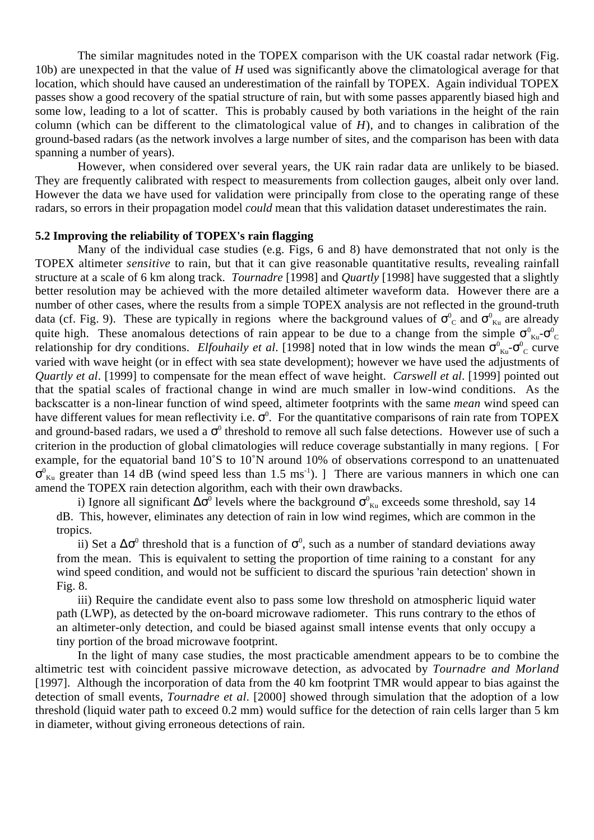The similar magnitudes noted in the TOPEX comparison with the UK coastal radar network (Fig. 10b) are unexpected in that the value of *H* used was significantly above the climatological average for that location, which should have caused an underestimation of the rainfall by TOPEX. Again individual TOPEX passes show a good recovery of the spatial structure of rain, but with some passes apparently biased high and some low, leading to a lot of scatter. This is probably caused by both variations in the height of the rain column (which can be different to the climatological value of *H*), and to changes in calibration of the ground-based radars (as the network involves a large number of sites, and the comparison has been with data spanning a number of years).

However, when considered over several years, the UK rain radar data are unlikely to be biased. They are frequently calibrated with respect to measurements from collection gauges, albeit only over land. However the data we have used for validation were principally from close to the operating range of these radars, so errors in their propagation model *could* mean that this validation dataset underestimates the rain.

## **5.2 Improving the reliability of TOPEX's rain flagging**

Many of the individual case studies (e.g. Figs, 6 and 8) have demonstrated that not only is the TOPEX altimeter *sensitive* to rain, but that it can give reasonable quantitative results, revealing rainfall structure at a scale of 6 km along track. *Tournadre* [1998] and *Quartly* [1998] have suggested that a slightly better resolution may be achieved with the more detailed altimeter waveform data. However there are a number of other cases, where the results from a simple TOPEX analysis are not reflected in the ground-truth data (cf. Fig. 9). These are typically in regions where the background values of  $\sigma_{c}^{0}$  and  $\sigma_{\kappa u}^{0}$  are already quite high. These anomalous detections of rain appear to be due to a change from the simple  $\sigma_{\kappa u}^0$ - $\sigma_{\kappa c}^0$ relationship for dry conditions. *Elfouhaily et al.* [1998] noted that in low winds the mean  $\sigma_{\kappa u}^0$ - $\sigma_{\rm c}^0$  curve varied with wave height (or in effect with sea state development); however we have used the adjustments of *Quartly et al*. [1999] to compensate for the mean effect of wave height. *Carswell et al*. [1999] pointed out that the spatial scales of fractional change in wind are much smaller in low-wind conditions. As the backscatter is a non-linear function of wind speed, altimeter footprints with the same *mean* wind speed can have different values for mean reflectivity i.e.  $\sigma^0$ . For the quantitative comparisons of rain rate from TOPEX and ground-based radars, we used a  $\sigma^0$  threshold to remove all such false detections. However use of such a criterion in the production of global climatologies will reduce coverage substantially in many regions. [ For example, for the equatorial band 10˚S to 10˚N around 10% of observations correspond to an unattenuated  $\sigma_{\text{Ku}}^0$  greater than 14 dB (wind speed less than 1.5 ms<sup>-1</sup>). ] There are various manners in which one can amend the TOPEX rain detection algorithm, each with their own drawbacks.

i) Ignore all significant  $\Delta \sigma^0$  levels where the background  $\sigma^0_{\kappa u}$  exceeds some threshold, say 14 dB. This, however, eliminates any detection of rain in low wind regimes, which are common in the tropics.

ii) Set a  $\Delta \sigma^0$  threshold that is a function of  $\sigma^0$ , such as a number of standard deviations away from the mean. This is equivalent to setting the proportion of time raining to a constant for any wind speed condition, and would not be sufficient to discard the spurious 'rain detection' shown in Fig. 8.

iii) Require the candidate event also to pass some low threshold on atmospheric liquid water path (LWP), as detected by the on-board microwave radiometer. This runs contrary to the ethos of an altimeter-only detection, and could be biased against small intense events that only occupy a tiny portion of the broad microwave footprint.

In the light of many case studies, the most practicable amendment appears to be to combine the altimetric test with coincident passive microwave detection, as advocated by *Tournadre and Morland* [1997]. Although the incorporation of data from the 40 km footprint TMR would appear to bias against the detection of small events, *Tournadre et al*. [2000] showed through simulation that the adoption of a low threshold (liquid water path to exceed 0.2 mm) would suffice for the detection of rain cells larger than 5 km in diameter, without giving erroneous detections of rain.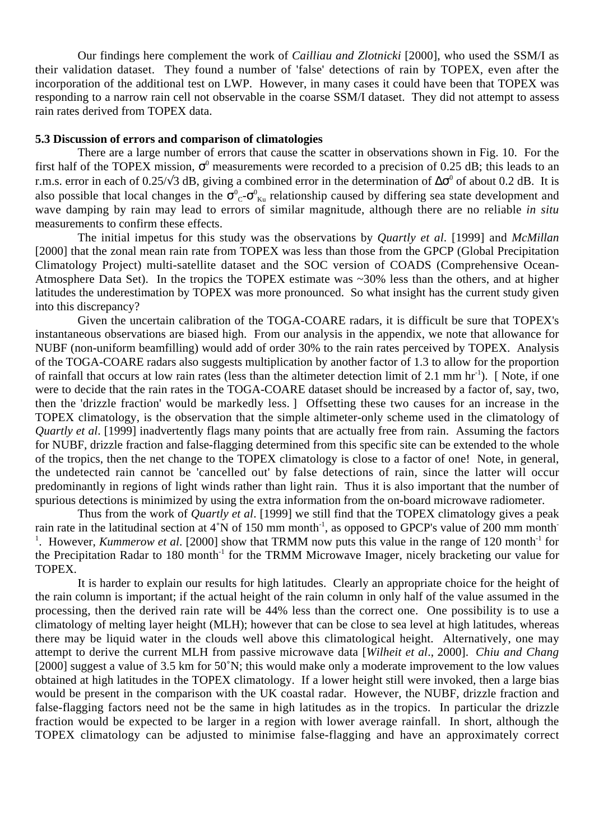Our findings here complement the work of *Cailliau and Zlotnicki* [2000], who used the SSM/I as their validation dataset. They found a number of 'false' detections of rain by TOPEX, even after the incorporation of the additional test on LWP. However, in many cases it could have been that TOPEX was responding to a narrow rain cell not observable in the coarse SSM/I dataset. They did not attempt to assess rain rates derived from TOPEX data.

## **5.3 Discussion of errors and comparison of climatologies**

There are a large number of errors that cause the scatter in observations shown in Fig. 10. For the first half of the TOPEX mission,  $\sigma^0$  measurements were recorded to a precision of 0.25 dB; this leads to an r.m.s. error in each of 0.25/ $\sqrt{3}$  dB, giving a combined error in the determination of  $\Delta \sigma^0$  of about 0.2 dB. It is also possible that local changes in the  $\sigma^0{}_C$ - $\sigma^0{}_{Ku}$  relationship caused by differing sea state development and wave damping by rain may lead to errors of similar magnitude, although there are no reliable *in situ* measurements to confirm these effects.

The initial impetus for this study was the observations by *Quartly et al*. [1999] and *McMillan* [2000] that the zonal mean rain rate from TOPEX was less than those from the GPCP (Global Precipitation Climatology Project) multi-satellite dataset and the SOC version of COADS (Comprehensive Ocean-Atmosphere Data Set). In the tropics the TOPEX estimate was ~30% less than the others, and at higher latitudes the underestimation by TOPEX was more pronounced. So what insight has the current study given into this discrepancy?

Given the uncertain calibration of the TOGA-COARE radars, it is difficult be sure that TOPEX's instantaneous observations are biased high. From our analysis in the appendix, we note that allowance for NUBF (non-uniform beamfilling) would add of order 30% to the rain rates perceived by TOPEX. Analysis of the TOGA-COARE radars also suggests multiplication by another factor of 1.3 to allow for the proportion of rainfall that occurs at low rain rates (less than the altimeter detection limit of 2.1 mm hr<sup>-1</sup>). [Note, if one were to decide that the rain rates in the TOGA-COARE dataset should be increased by a factor of, say, two, then the 'drizzle fraction' would be markedly less. ] Offsetting these two causes for an increase in the TOPEX climatology, is the observation that the simple altimeter-only scheme used in the climatology of *Quartly et al*. [1999] inadvertently flags many points that are actually free from rain. Assuming the factors for NUBF, drizzle fraction and false-flagging determined from this specific site can be extended to the whole of the tropics, then the net change to the TOPEX climatology is close to a factor of one! Note, in general, the undetected rain cannot be 'cancelled out' by false detections of rain, since the latter will occur predominantly in regions of light winds rather than light rain. Thus it is also important that the number of spurious detections is minimized by using the extra information from the on-board microwave radiometer.

Thus from the work of *Quartly et al*. [1999] we still find that the TOPEX climatology gives a peak rain rate in the latitudinal section at 4°N of 150 mm month<sup>-1</sup>, as opposed to GPCP's value of 200 mm month<sup>-1</sup> <sup>1</sup>. However, *Kummerow et al.* [2000] show that TRMM now puts this value in the range of 120 month<sup>-1</sup> for the Precipitation Radar to 180 month<sup>-1</sup> for the TRMM Microwave Imager, nicely bracketing our value for TOPEX.

It is harder to explain our results for high latitudes. Clearly an appropriate choice for the height of the rain column is important; if the actual height of the rain column in only half of the value assumed in the processing, then the derived rain rate will be 44% less than the correct one. One possibility is to use a climatology of melting layer height (MLH); however that can be close to sea level at high latitudes, whereas there may be liquid water in the clouds well above this climatological height. Alternatively, one may attempt to derive the current MLH from passive microwave data [*Wilheit et al*., 2000]. *Chiu and Chang* [2000] suggest a value of 3.5 km for 50°N; this would make only a moderate improvement to the low values obtained at high latitudes in the TOPEX climatology. If a lower height still were invoked, then a large bias would be present in the comparison with the UK coastal radar. However, the NUBF, drizzle fraction and false-flagging factors need not be the same in high latitudes as in the tropics. In particular the drizzle fraction would be expected to be larger in a region with lower average rainfall. In short, although the TOPEX climatology can be adjusted to minimise false-flagging and have an approximately correct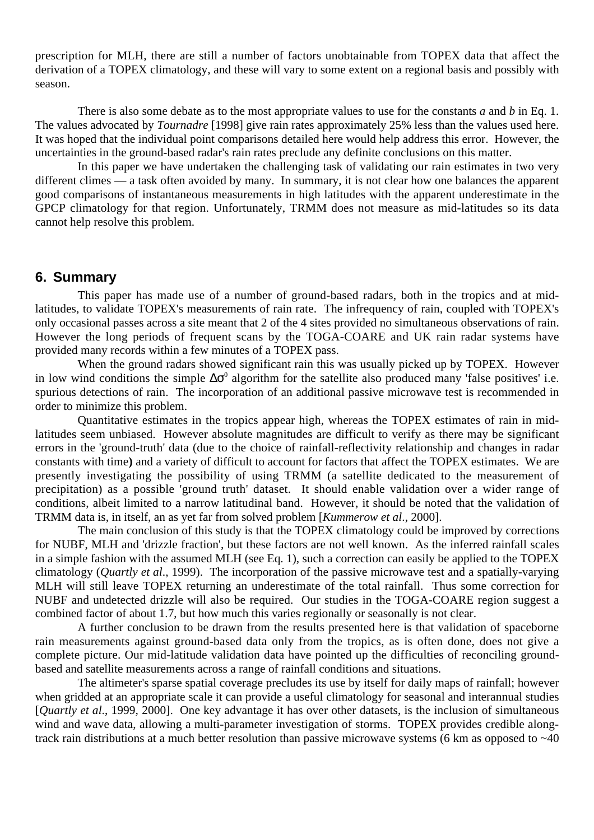prescription for MLH, there are still a number of factors unobtainable from TOPEX data that affect the derivation of a TOPEX climatology, and these will vary to some extent on a regional basis and possibly with season.

There is also some debate as to the most appropriate values to use for the constants *a* and *b* in Eq. 1. The values advocated by *Tournadre* [1998] give rain rates approximately 25% less than the values used here. It was hoped that the individual point comparisons detailed here would help address this error. However, the uncertainties in the ground-based radar's rain rates preclude any definite conclusions on this matter.

In this paper we have undertaken the challenging task of validating our rain estimates in two very different climes — a task often avoided by many. In summary, it is not clear how one balances the apparent good comparisons of instantaneous measurements in high latitudes with the apparent underestimate in the GPCP climatology for that region. Unfortunately, TRMM does not measure as mid-latitudes so its data cannot help resolve this problem.

## **6. Summary**

This paper has made use of a number of ground-based radars, both in the tropics and at midlatitudes, to validate TOPEX's measurements of rain rate. The infrequency of rain, coupled with TOPEX's only occasional passes across a site meant that 2 of the 4 sites provided no simultaneous observations of rain. However the long periods of frequent scans by the TOGA-COARE and UK rain radar systems have provided many records within a few minutes of a TOPEX pass.

When the ground radars showed significant rain this was usually picked up by TOPEX. However in low wind conditions the simple  $\Delta\sigma^0$  algorithm for the satellite also produced many 'false positives' i.e. spurious detections of rain. The incorporation of an additional passive microwave test is recommended in order to minimize this problem.

Quantitative estimates in the tropics appear high, whereas the TOPEX estimates of rain in midlatitudes seem unbiased. However absolute magnitudes are difficult to verify as there may be significant errors in the 'ground-truth' data (due to the choice of rainfall-reflectivity relationship and changes in radar constants with time**)** and a variety of difficult to account for factors that affect the TOPEX estimates. We are presently investigating the possibility of using TRMM (a satellite dedicated to the measurement of precipitation) as a possible 'ground truth' dataset. It should enable validation over a wider range of conditions, albeit limited to a narrow latitudinal band. However, it should be noted that the validation of TRMM data is, in itself, an as yet far from solved problem [*Kummerow et al*., 2000].

The main conclusion of this study is that the TOPEX climatology could be improved by corrections for NUBF, MLH and 'drizzle fraction', but these factors are not well known. As the inferred rainfall scales in a simple fashion with the assumed MLH (see Eq. 1), such a correction can easily be applied to the TOPEX climatology (*Quartly et al*., 1999). The incorporation of the passive microwave test and a spatially-varying MLH will still leave TOPEX returning an underestimate of the total rainfall. Thus some correction for NUBF and undetected drizzle will also be required. Our studies in the TOGA-COARE region suggest a combined factor of about 1.7, but how much this varies regionally or seasonally is not clear.

A further conclusion to be drawn from the results presented here is that validation of spaceborne rain measurements against ground-based data only from the tropics, as is often done, does not give a complete picture. Our mid-latitude validation data have pointed up the difficulties of reconciling groundbased and satellite measurements across a range of rainfall conditions and situations.

The altimeter's sparse spatial coverage precludes its use by itself for daily maps of rainfall; however when gridded at an appropriate scale it can provide a useful climatology for seasonal and interannual studies [*Quartly et al*., 1999, 2000]. One key advantage it has over other datasets, is the inclusion of simultaneous wind and wave data, allowing a multi-parameter investigation of storms. TOPEX provides credible alongtrack rain distributions at a much better resolution than passive microwave systems (6 km as opposed to ~40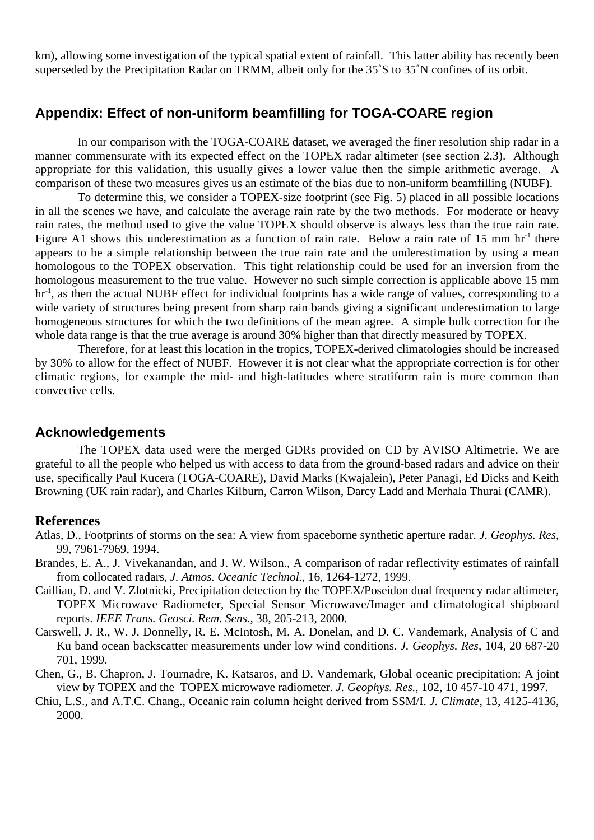km), allowing some investigation of the typical spatial extent of rainfall. This latter ability has recently been superseded by the Precipitation Radar on TRMM, albeit only for the 35˚S to 35˚N confines of its orbit.

# **Appendix: Effect of non-uniform beamfilling for TOGA-COARE region**

In our comparison with the TOGA-COARE dataset, we averaged the finer resolution ship radar in a manner commensurate with its expected effect on the TOPEX radar altimeter (see section 2.3). Although appropriate for this validation, this usually gives a lower value then the simple arithmetic average. A comparison of these two measures gives us an estimate of the bias due to non-uniform beamfilling (NUBF).

To determine this, we consider a TOPEX-size footprint (see Fig. 5) placed in all possible locations in all the scenes we have, and calculate the average rain rate by the two methods. For moderate or heavy rain rates, the method used to give the value TOPEX should observe is always less than the true rain rate. Figure A1 shows this underestimation as a function of rain rate. Below a rain rate of 15 mm  $\text{hr}^1$  there appears to be a simple relationship between the true rain rate and the underestimation by using a mean homologous to the TOPEX observation. This tight relationship could be used for an inversion from the homologous measurement to the true value. However no such simple correction is applicable above 15 mm hr<sup>-1</sup>, as then the actual NUBF effect for individual footprints has a wide range of values, corresponding to a wide variety of structures being present from sharp rain bands giving a significant underestimation to large homogeneous structures for which the two definitions of the mean agree. A simple bulk correction for the whole data range is that the true average is around 30% higher than that directly measured by TOPEX.

Therefore, for at least this location in the tropics, TOPEX-derived climatologies should be increased by 30% to allow for the effect of NUBF. However it is not clear what the appropriate correction is for other climatic regions, for example the mid- and high-latitudes where stratiform rain is more common than convective cells.

# **Acknowledgements**

The TOPEX data used were the merged GDRs provided on CD by AVISO Altimetrie. We are grateful to all the people who helped us with access to data from the ground-based radars and advice on their use, specifically Paul Kucera (TOGA-COARE), David Marks (Kwajalein), Peter Panagi, Ed Dicks and Keith Browning (UK rain radar), and Charles Kilburn, Carron Wilson, Darcy Ladd and Merhala Thurai (CAMR).

# **References**

- Atlas, D., Footprints of storms on the sea: A view from spaceborne synthetic aperture radar. *J. Geophys. Res*, 99, 7961-7969, 1994.
- Brandes, E. A., J. Vivekanandan, and J. W. Wilson., A comparison of radar reflectivity estimates of rainfall from collocated radars, *J. Atmos. Oceanic Technol.*, 16, 1264-1272, 1999.
- Cailliau, D. and V. Zlotnicki, Precipitation detection by the TOPEX/Poseidon dual frequency radar altimeter, TOPEX Microwave Radiometer, Special Sensor Microwave/Imager and climatological shipboard reports. *IEEE Trans. Geosci. Rem. Sens.*, 38, 205-213, 2000.
- Carswell, J. R., W. J. Donnelly, R. E. McIntosh, M. A. Donelan, and D. C. Vandemark, Analysis of C and Ku band ocean backscatter measurements under low wind conditions. *J. Geophys. Res*, 104, 20 687-20 701, 1999.
- Chen, G., B. Chapron, J. Tournadre, K. Katsaros, and D. Vandemark, Global oceanic precipitation: A joint view by TOPEX and the TOPEX microwave radiometer. *J. Geophys. Res.*, 102, 10 457-10 471, 1997.
- Chiu, L.S., and A.T.C. Chang., Oceanic rain column height derived from SSM/I. *J. Climate*, 13, 4125-4136, 2000.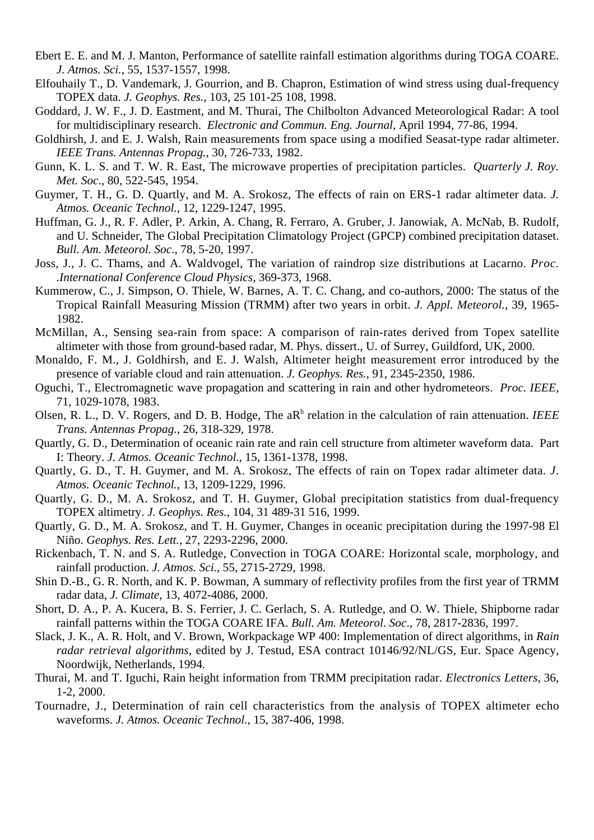- Ebert E. E. and M. J. Manton, Performance of satellite rainfall estimation algorithms during TOGA COARE. *J. Atmos. Sci.*, 55, 1537-1557, 1998.
- Elfouhaily T., D. Vandemark, J. Gourrion, and B. Chapron, Estimation of wind stress using dual-frequency TOPEX data. *J. Geophys. Res.*, 103, 25 101-25 108, 1998.
- Goddard, J. W. F., J. D. Eastment, and M. Thurai, The Chilbolton Advanced Meteorological Radar: A tool for multidisciplinary research. *Electronic and Commun. Eng. Journal*, April 1994, 77-86, 1994.
- Goldhirsh, J. and E. J. Walsh, Rain measurements from space using a modified Seasat-type radar altimeter. *IEEE Trans. Antennas Propag.*, 30, 726-733, 1982.
- Gunn, K. L. S. and T. W. R. East, The microwave properties of precipitation particles. *Quarterly J. Roy. Met. Soc*., 80, 522-545, 1954.
- Guymer, T. H., G. D. Quartly, and M. A. Srokosz, The effects of rain on ERS-1 radar altimeter data. *J. Atmos. Oceanic Technol.*, 12, 1229-1247, 1995.
- Huffman, G. J., R. F. Adler, P. Arkin, A. Chang, R. Ferraro, A. Gruber, J. Janowiak, A. McNab, B. Rudolf, and U. Schneider, The Global Precipitation Climatology Project (GPCP) combined precipitation dataset. *Bull. Am. Meteorol. Soc*., 78, 5-20, 1997.
- Joss, J., J. C. Thams, and A. Waldvogel, The variation of raindrop size distributions at Lacarno. *Proc. .International Conference Cloud Physics*, 369-373, 1968.
- Kummerow, C., J. Simpson, O. Thiele, W. Barnes, A. T. C. Chang, and co-authors, 2000: The status of the Tropical Rainfall Measuring Mission (TRMM) after two years in orbit. *J. Appl. Meteorol.*, 39, 1965- 1982.
- McMillan, A., Sensing sea-rain from space: A comparison of rain-rates derived from Topex satellite altimeter with those from ground-based radar, M. Phys. dissert., U. of Surrey, Guildford, UK, 2000.
- Monaldo, F. M., J. Goldhirsh, and E. J. Walsh, Altimeter height measurement error introduced by the presence of variable cloud and rain attenuation. *J. Geophys. Res.*, 91, 2345-2350, 1986.
- Oguchi, T., Electromagnetic wave propagation and scattering in rain and other hydrometeors. *Proc. IEEE*, 71, 1029-1078, 1983.
- Olsen, R. L., D. V. Rogers, and D. B. Hodge, The aR<sup>b</sup> relation in the calculation of rain attenuation. *IEEE Trans. Antennas Propag.*, 26, 318-329, 1978.
- Quartly, G. D., Determination of oceanic rain rate and rain cell structure from altimeter waveform data. Part I: Theory. *J. Atmos. Oceanic Technol.*, 15, 1361-1378, 1998.
- Quartly, G. D., T. H. Guymer, and M. A. Srokosz, The effects of rain on Topex radar altimeter data. *J. Atmos. Oceanic Technol.*, 13, 1209-1229, 1996.
- Quartly, G. D., M. A. Srokosz, and T. H. Guymer, Global precipitation statistics from dual-frequency TOPEX altimetry. *J. Geophys. Res.*, 104, 31 489-31 516, 1999.
- Quartly, G. D., M. A. Srokosz, and T. H. Guymer, Changes in oceanic precipitation during the 1997-98 El Niño. *Geophys. Res. Lett.*, 27, 2293-2296, 2000.
- Rickenbach, T. N. and S. A. Rutledge, Convection in TOGA COARE: Horizontal scale, morphology, and rainfall production. *J. Atmos. Sci.*, 55, 2715-2729, 1998.
- Shin D.-B., G. R. North, and K. P. Bowman, A summary of reflectivity profiles from the first year of TRMM radar data, *J. Climate*, 13, 4072-4086, 2000.
- Short, D. A., P. A. Kucera, B. S. Ferrier, J. C. Gerlach, S. A. Rutledge, and O. W. Thiele, Shipborne radar rainfall patterns within the TOGA COARE IFA. *Bull. Am. Meteorol. Soc*., 78, 2817-2836, 1997.
- Slack, J. K., A. R. Holt, and V. Brown, Workpackage WP 400: Implementation of direct algorithms, in *Rain radar retrieval algorithms*, edited by J. Testud, ESA contract 10146/92/NL/GS, Eur. Space Agency, Noordwijk, Netherlands, 1994.
- Thurai, M. and T. Iguchi, Rain height information from TRMM precipitation radar. *Electronics Letters*, 36, 1-2, 2000.
- Tournadre, J., Determination of rain cell characteristics from the analysis of TOPEX altimeter echo waveforms. *J. Atmos. Oceanic Technol.*, 15, 387-406, 1998.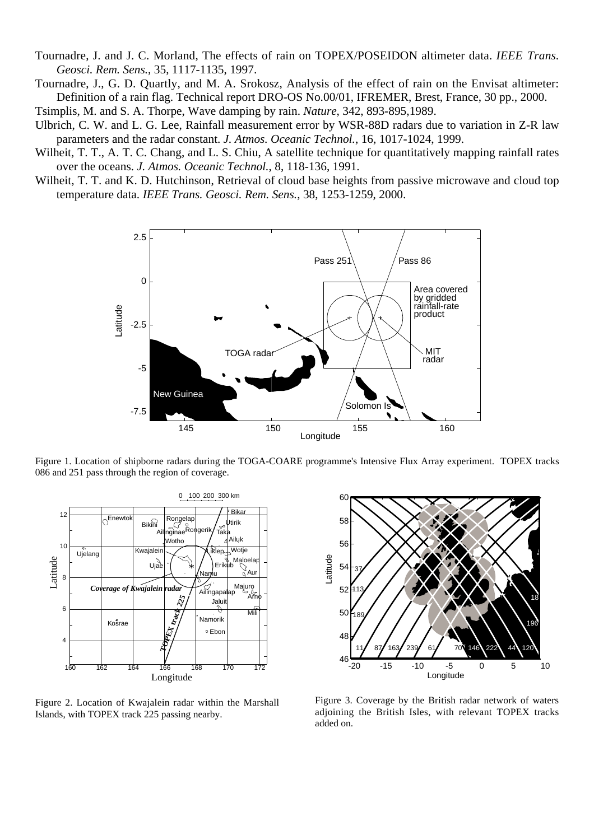Tournadre, J. and J. C. Morland, The effects of rain on TOPEX/POSEIDON altimeter data. *IEEE Trans. Geosci. Rem. Sens.*, 35, 1117-1135, 1997.

Tournadre, J., G. D. Quartly, and M. A. Srokosz, Analysis of the effect of rain on the Envisat altimeter: Definition of a rain flag. Technical report DRO-OS No.00/01, IFREMER, Brest, France, 30 pp., 2000.

Tsimplis, M. and S. A. Thorpe, Wave damping by rain. *Nature*, 342, 893-895,1989.

Ulbrich, C. W. and L. G. Lee, Rainfall measurement error by WSR-88D radars due to variation in Z-R law parameters and the radar constant. *J. Atmos. Oceanic Technol.*, 16, 1017-1024, 1999.

- Wilheit, T. T., A. T. C. Chang, and L. S. Chiu, A satellite technique for quantitatively mapping rainfall rates over the oceans. *J. Atmos. Oceanic Technol.*, 8, 118-136, 1991.
- Wilheit, T. T. and K. D. Hutchinson, Retrieval of cloud base heights from passive microwave and cloud top temperature data. *IEEE Trans. Geosci. Rem. Sens.*, 38, 1253-1259, 2000.



Figure 1. Location of shipborne radars during the TOGA-COARE programme's Intensive Flux Array experiment. TOPEX tracks 086 and 251 pass through the region of coverage.



Figure 2. Location of Kwajalein radar within the Marshall Islands, with TOPEX track 225 passing nearby.



Figure 3. Coverage by the British radar network of waters adjoining the British Isles, with relevant TOPEX tracks added on.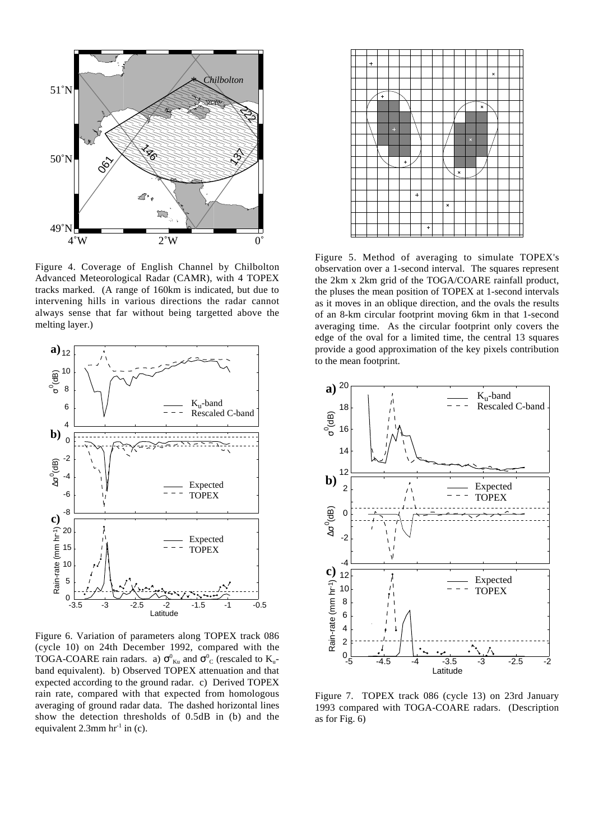

Figure 4. Coverage of English Channel by Chilbolton Advanced Meteorological Radar (CAMR), with 4 TOPEX tracks marked. (A range of 160km is indicated, but due to intervening hills in various directions the radar cannot always sense that far without being targetted above the melting layer.)



Figure 6. Variation of parameters along TOPEX track 086 (cycle 10) on 24th December 1992, compared with the TOGA-COARE rain radars. a)  $\sigma_{\text{Ku}}^0$  and  $\sigma_{\text{C}}^0$  (rescaled to  $\text{K}_{\text{u}}$ band equivalent). b) Observed TOPEX attenuation and that expected according to the ground radar. c) Derived TOPEX rain rate, compared with that expected from homologous averaging of ground radar data. The dashed horizontal lines show the detection thresholds of 0.5dB in (b) and the equivalent  $2.3$ mm hr<sup>-1</sup> in (c).



Figure 5. Method of averaging to simulate TOPEX's observation over a 1-second interval. The squares represent the 2km x 2km grid of the TOGA/COARE rainfall product, the pluses the mean position of TOPEX at 1-second intervals as it moves in an oblique direction, and the ovals the results of an 8-km circular footprint moving 6km in that 1-second averaging time. As the circular footprint only covers the edge of the oval for a limited time, the central 13 squares provide a good approximation of the key pixels contribution to the mean footprint.



Figure 7. TOPEX track 086 (cycle 13) on 23rd January 1993 compared with TOGA-COARE radars. (Description as for Fig. 6)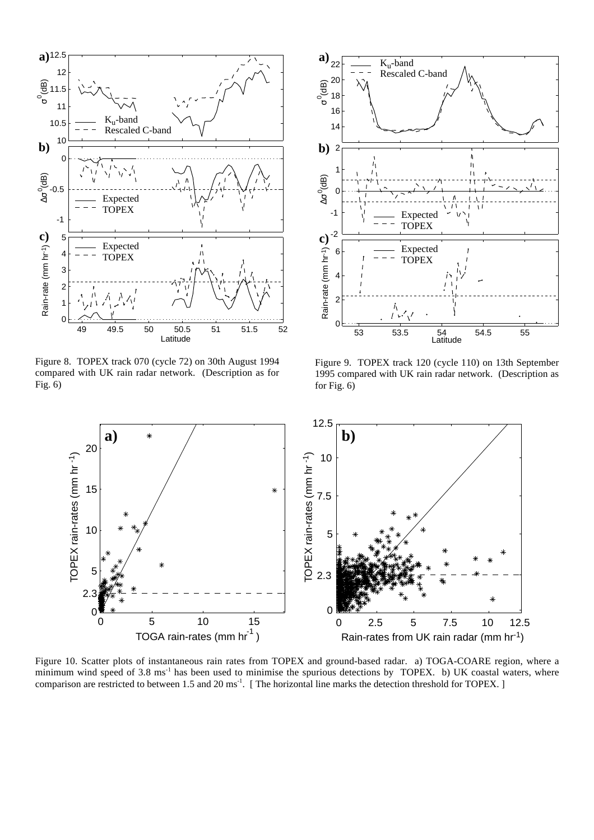

Figure 8. TOPEX track 070 (cycle 72) on 30th August 1994 compared with UK rain radar network. (Description as for Fig. 6)



Figure 9. TOPEX track 120 (cycle 110) on 13th September 1995 compared with UK rain radar network. (Description as for Fig. 6)



Figure 10. Scatter plots of instantaneous rain rates from TOPEX and ground-based radar. a) TOGA-COARE region, where a minimum wind speed of 3.8 ms<sup>-1</sup> has been used to minimise the spurious detections by TOPEX. b) UK coastal waters, where comparison are restricted to between 1.5 and 20 ms<sup>-1</sup>. [The horizontal line marks the detection threshold for TOPEX.]